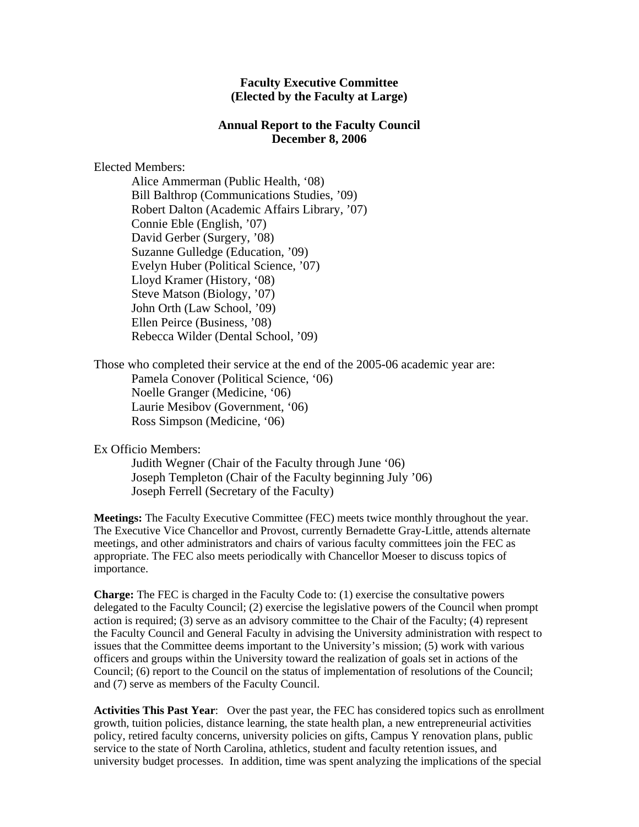## **Faculty Executive Committee (Elected by the Faculty at Large)**

## **Annual Report to the Faculty Council December 8, 2006**

## Elected Members:

Alice Ammerman (Public Health, '08) Bill Balthrop (Communications Studies, '09) Robert Dalton (Academic Affairs Library, '07) Connie Eble (English, '07) David Gerber (Surgery, '08) Suzanne Gulledge (Education, '09) Evelyn Huber (Political Science, '07) Lloyd Kramer (History, '08) Steve Matson (Biology, '07) John Orth (Law School, '09) Ellen Peirce (Business, '08) Rebecca Wilder (Dental School, '09)

Those who completed their service at the end of the 2005-06 academic year are: Pamela Conover (Political Science, '06) Noelle Granger (Medicine, '06) Laurie Mesibov (Government, '06) Ross Simpson (Medicine, '06)

## Ex Officio Members:

Judith Wegner (Chair of the Faculty through June '06) Joseph Templeton (Chair of the Faculty beginning July '06) Joseph Ferrell (Secretary of the Faculty)

**Meetings:** The Faculty Executive Committee (FEC) meets twice monthly throughout the year. The Executive Vice Chancellor and Provost, currently Bernadette Gray-Little, attends alternate meetings, and other administrators and chairs of various faculty committees join the FEC as appropriate. The FEC also meets periodically with Chancellor Moeser to discuss topics of importance.

**Charge:** The FEC is charged in the Faculty Code to: (1) exercise the consultative powers delegated to the Faculty Council; (2) exercise the legislative powers of the Council when prompt action is required; (3) serve as an advisory committee to the Chair of the Faculty; (4) represent the Faculty Council and General Faculty in advising the University administration with respect to issues that the Committee deems important to the University's mission; (5) work with various officers and groups within the University toward the realization of goals set in actions of the Council; (6) report to the Council on the status of implementation of resolutions of the Council; and (7) serve as members of the Faculty Council.

**Activities This Past Year**: Over the past year, the FEC has considered topics such as enrollment growth, tuition policies, distance learning, the state health plan, a new entrepreneurial activities policy, retired faculty concerns, university policies on gifts, Campus Y renovation plans, public service to the state of North Carolina, athletics, student and faculty retention issues, and university budget processes. In addition, time was spent analyzing the implications of the special